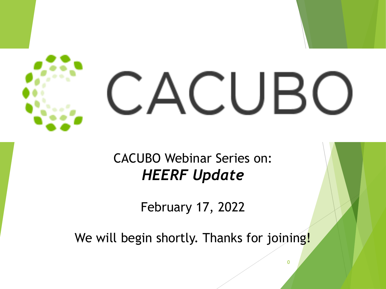

#### CACUBO Webinar Series on: *HEERF Update*

February 17, 2022

We will begin shortly. Thanks for joining!

 $\Omega$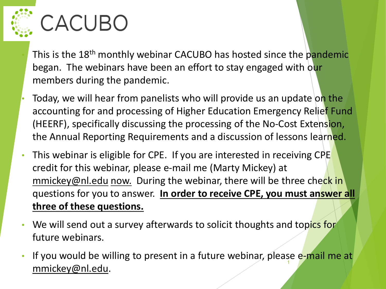

# CACUBO

- This is the 18<sup>th</sup> monthly webinar CACUBO has hosted since the pandemic began. The webinars have been an effort to stay engaged with our members during the pandemic.
- Today, we will hear from panelists who will provide us an update on the accounting for and processing of Higher Education Emergency Relief Fund (HEERF), specifically discussing the processing of the No-Cost Extension, the Annual Reporting Requirements and a discussion of lessons learned.
- This webinar is eligible for CPE. If you are interested in receiving CPE credit for this webinar, please e-mail me (Marty Mickey) at [mmickey@nl.edu](mailto:mmickey@nl.edu) now. During the webinar, there will be three check in questions for you to answer. **In order to receive CPE, you must answer all three of these questions.**
- We will send out a survey afterwards to solicit thoughts and topics for future webinars.
- If you would be willing to present in a future webinar, please e-mail me at [mmickey@nl.edu](mailto:mmickey@nl.edu). <sup>1</sup>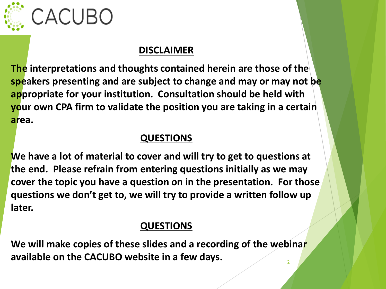

# CACUBO

#### **DISCLAIMER**

**The interpretations and thoughts contained herein are those of the speakers presenting and are subject to change and may or may not be appropriate for your institution. Consultation should be held with your own CPA firm to validate the position you are taking in a certain area.**

#### **QUESTIONS**

**We have a lot of material to cover and will try to get to questions at the end. Please refrain from entering questions initially as we may cover the topic you have a question on in the presentation. For those questions we don't get to, we will try to provide a written follow up later.**

#### **QUESTIONS**

**We will make copies of these slides and a recording of the webinar available on the CACUBO website in a few days.** 2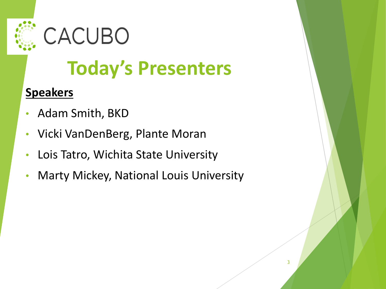



# **Today's Presenters**

#### **Speakers**

- Adam Smith, BKD
- Vicki VanDenBerg, Plante Moran
- Lois Tatro, Wichita State University
- Marty Mickey, National Louis University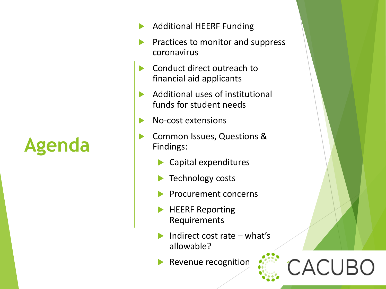**Agenda**

- Additional HEERF Funding
- Practices to monitor and suppress coronavirus
- Conduct direct outreach to financial aid applicants
- Additional uses of institutional funds for student needs
- No-cost extensions
- Common Issues, Questions & Findings:
	- Capital expenditures
	- Technology costs
	- Procurement concerns
	- HEERF Reporting Requirements
	- Indirect cost rate what's allowable?

CACUBO

Revenue recognition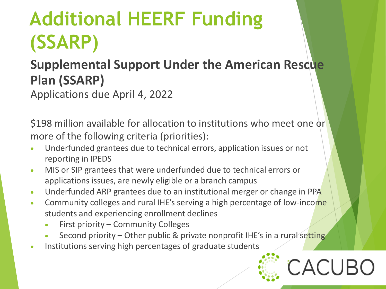**Additional HEERF Funding (SSARP)**

#### **Supplemental Support Under the American Rescue Plan (SSARP)**

Applications due April 4, 2022

\$198 million available for allocation to institutions who meet one or more of the following criteria (priorities):

- Underfunded grantees due to technical errors, application issues or not reporting in IPEDS
- MIS or SIP grantees that were underfunded due to technical errors or applications issues, are newly eligible or a branch campus
- Underfunded ARP grantees due to an institutional merger or change in PPA
- Community colleges and rural IHE's serving a high percentage of low-income students and experiencing enrollment declines
	- First priority Community Colleges
	- Second priority Other public & private nonprofit IHE's in a rural setting
- Institutions serving high percentages of graduate students

# CACLIRC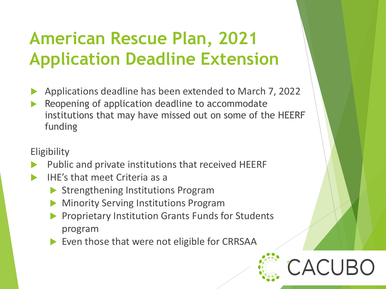### **American Rescue Plan, 2021 Application Deadline Extension**

- Applications deadline has been extended to March 7, 2022
- Reopening of application deadline to accommodate institutions that may have missed out on some of the HEERF funding

#### **Eligibility**

- Public and private institutions that received HEERF
- IHE's that meet Criteria as a
	- ▶ Strengthening Institutions Program
	- Minority Serving Institutions Program
	- Proprietary Institution Grants Funds for Students program

6

Even those that were not eligible for CRRSAA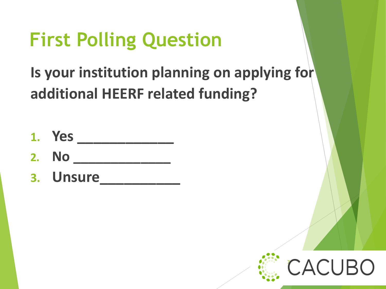# **First Polling Question**

**Is your institution planning on applying for additional HEERF related funding?**

- **1. Yes \_\_\_\_\_\_\_\_\_\_\_\_**
- **2. No \_\_\_\_\_\_\_\_\_\_\_\_\_**
- **3. Unsure\_\_\_\_\_\_\_\_\_\_**

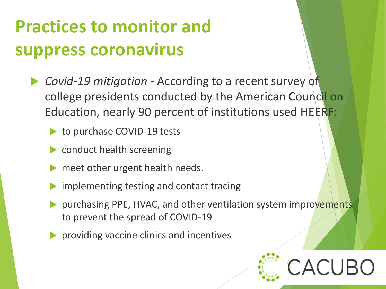# **Practices to monitor and suppress coronavirus**

- *Covid-19 mitigation -* According to a recent survey of college presidents conducted by the American Council on Education, nearly 90 percent of institutions used HEERF:
	- to purchase COVID-19 tests
	- **Conduct health screening**
	- meet other urgent health needs.
	- implementing testing and contact tracing
	- purchasing PPE, HVAC, and other ventilation system improvements to prevent the spread of COVID-19
	- **Peroviding vaccine clinics and incentives**

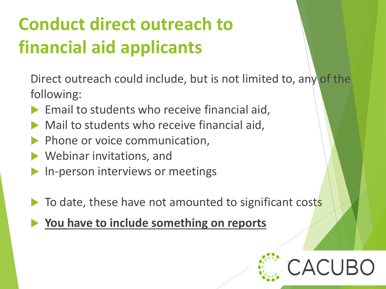# **Conduct direct outreach to financial aid applicants**

Direct outreach could include, but is not limited to, any of the following:

- Email to students who receive financial aid,
- Mail to students who receive financial aid,
- Phone or voice communication,
- Webinar invitations, and
- In-person interviews or meetings
- To date, these have not amounted to significant costs
- **You have to include something on reports**

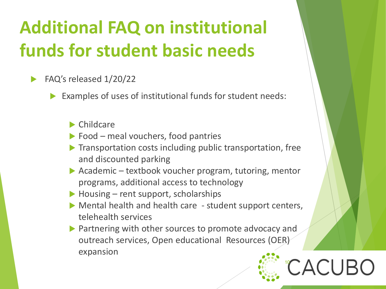# **Additional FAQ on institutional funds for student basic needs**

- FAQ's released 1/20/22
	- Examples of uses of institutional funds for student needs:
		- Childcare
		- $\triangleright$  Food meal vouchers, food pantries
		- **Transportation costs including public transportation, free** and discounted parking
		- ▶ Academic textbook voucher program, tutoring, mentor programs, additional access to technology
		- $\blacktriangleright$  Housing rent support, scholarships
		- Mental health and health care student support centers, telehealth services
		- **Partnering with other sources to promote advocacy and** outreach services, Open educational Resources (OER) expansion

10

ACUF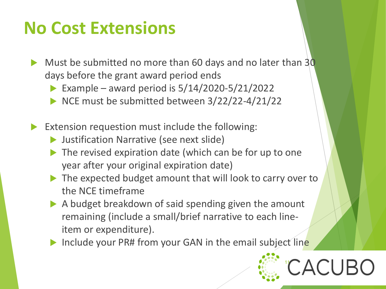#### **No Cost Extensions**

- Must be submitted no more than 60 days and no later than 30 days before the grant award period ends
	- Example award period is  $5/14/2020 5/21/2022$
	- NCE must be submitted between  $3/22/22-4/21/22$
- Extension requestion must include the following:
	- **D** Justification Narrative (see next slide)
	- $\blacktriangleright$  The revised expiration date (which can be for up to one year after your original expiration date)
	- ▶ The expected budget amount that will look to carry over to the NCE timeframe
	- A budget breakdown of said spending given the amount remaining (include a small/brief narrative to each lineitem or expenditure).
	- Include your PR# from your GAN in the email subject line

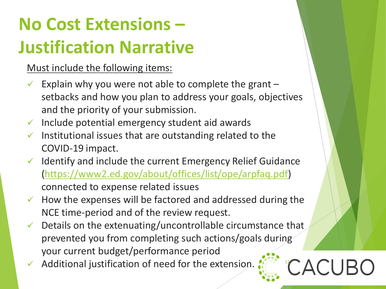# **No Cost Extensions – Justification Narrative**

Must include the following items:

- Explain why you were not able to complete the grant setbacks and how you plan to address your goals, objectives and the priority of your submission.
- $\checkmark$  Include potential emergency student aid awards
- Institutional issues that are outstanding related to the COVID-19 impact.
- $\checkmark$  Identify and include the current Emergency Relief Guidance [\(https://www2.ed.gov/about/offices/list/ope/arpfaq.pdf\)](https://www2.ed.gov/about/offices/list/ope/arpfaq.pdf) connected to expense related issues
- $\checkmark$  How the expenses will be factored and addressed during the NCE time-period and of the review request.
- $\checkmark$  Details on the extenuating/uncontrollable circumstance that prevented you from completing such actions/goals during your current budget/performance period

CACUBC

Additional justification of need for the extension.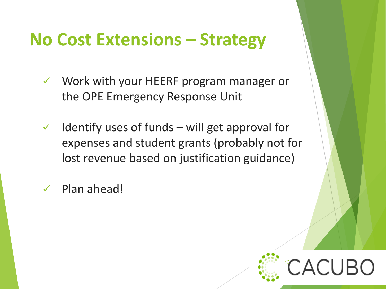#### **No Cost Extensions – Strategy**

- $\checkmark$  Work with your HEERF program manager or the OPE Emergency Response Unit
- $\checkmark$  Identify uses of funds will get approval for expenses and student grants (probably not for lost revenue based on justification guidance)
- Plan ahead!

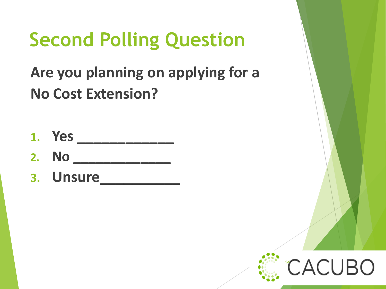# **Second Polling Question**

**Are you planning on applying for a No Cost Extension?**

**1. Yes \_\_\_\_\_\_\_\_\_\_\_\_ 2. No \_\_\_\_\_\_\_\_\_\_\_\_\_ 3. Unsure\_\_\_\_\_\_\_\_\_\_**

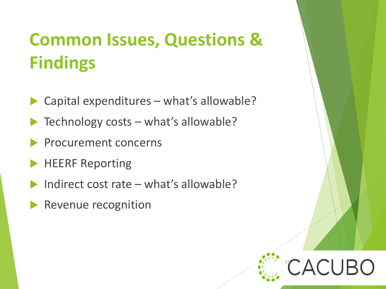# **Common Issues, Questions & Findings**

- Capital expenditures what's allowable?
- Technology costs what's allowable?
- Procurement concerns
- HEERF Reporting
- Indirect cost rate what's allowable?

15

Revenue recognition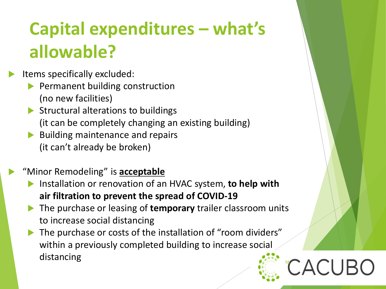# **Capital expenditures – what's allowable?**

- Items specifically excluded:
	- Permanent building construction (no new facilities)
	- $\triangleright$  Structural alterations to buildings (it can be completely changing an existing building)
	- $\blacktriangleright$  Building maintenance and repairs (it can't already be broken)
	- "Minor Remodeling" is **acceptable**
		- Installation or renovation of an HVAC system, **to help with air filtration to prevent the spread of COVID-19**
		- The purchase or leasing of **temporary** trailer classroom units to increase social distancing
		- The purchase or costs of the installation of "room dividers" within a previously completed building to increase social distancing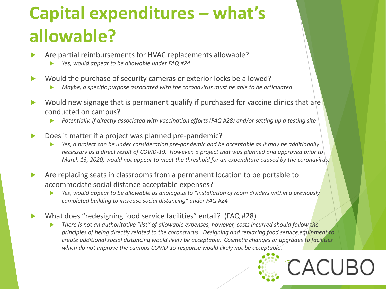# **Capital expenditures – what's allowable?**

- Are partial reimbursements for HVAC replacements allowable?
	- *Yes, would appear to be allowable under FAQ #24*
- Would the purchase of security cameras or exterior locks be allowed?
	- *Maybe, a specific purpose associated with the coronavirus must be able to be articulated*
- Would new signage that is permanent qualify if purchased for vaccine clinics that are conducted on campus?
	- *Potentially, if directly associated with vaccination efforts (FAQ #28) and/or setting up a testing site*
- Does it matter if a project was planned pre-pandemic?
	- *Yes, a project can be under consideration pre-pandemic and be acceptable as it may be additionally necessary as a direct result of COVID-19. However, a project that was planned and approved prior to March 13, 2020, would not appear to meet the threshold for an expenditure caused by the coronavirus.*
- Are replacing seats in classrooms from a permanent location to be portable to accommodate social distance acceptable expenses?
	- *Yes, would appear to be allowable as analogous to "installation of room dividers within a previously completed building to increase social distancing" under FAQ #24*
- What does "redesigning food service facilities" entail? (FAQ #28)
	- *There is not an authoritative "list" of allowable expenses, however, costs incurred should follow the principles of being directly related to the coronavirus. Designing and replacing food service equipment to create additional social distancing would likely be acceptable. Cosmetic changes or upgrades to facilities which do not improve the campus COVID-19 response would likely not be acceptable.*

17

**ACUBO**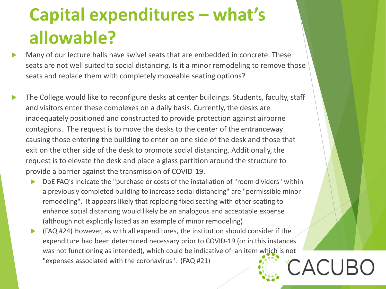# **Capital expenditures – what's allowable?**

- Many of our lecture halls have swivel seats that are embedded in concrete. These seats are not well suited to social distancing. Is it a minor remodeling to remove those seats and replace them with completely moveable seating options?
- The College would like to reconfigure desks at center buildings. Students, faculty, staff and visitors enter these complexes on a daily basis. Currently, the desks are inadequately positioned and constructed to provide protection against airborne contagions. The request is to move the desks to the center of the entranceway causing those entering the building to enter on one side of the desk and those that exit on the other side of the desk to promote social distancing. Additionally, the request is to elevate the desk and place a glass partition around the structure to provide a barrier against the transmission of COVID-19.
	- DoE FAQ's indicate the "purchase or costs of the installation of "room dividers" within a previously completed building to increase social distancing" are "permissible minor remodeling". It appears likely that replacing fixed seating with other seating to enhance social distancing would likely be an analogous and acceptable expense (although not explicitly listed as an example of minor remodeling)
	- (FAQ #24) However, as with all expenditures, the institution should consider if the expenditure had been determined necessary prior to COVID-19 (or in this instances was not functioning as intended), which could be indicative of an item which is not "expenses associated with the coronavirus". (FAQ #21) <sup>18</sup>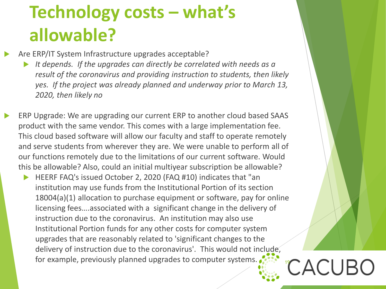# **Technology costs – what's allowable?**

Are ERP/IT System Infrastructure upgrades acceptable?

- *It depends. If the upgrades can directly be correlated with needs as a result of the coronavirus and providing instruction to students, then likely yes. If the project was already planned and underway prior to March 13, 2020, then likely no*
- ERP Upgrade: We are upgrading our current ERP to another cloud based SAAS product with the same vendor. This comes with a large implementation fee. This cloud based software will allow our faculty and staff to operate remotely and serve students from wherever they are. We were unable to perform all of our functions remotely due to the limitations of our current software. Would this be allowable? Also, could an initial multiyear subscription be allowable?
	- HEERF FAQ's issued October 2, 2020 (FAQ #10) indicates that "an institution may use funds from the Institutional Portion of its section 18004(a)(1) allocation to purchase equipment or software, pay for online licensing fees….associated with a significant change in the delivery of instruction due to the coronavirus. An institution may also use Institutional Portion funds for any other costs for computer system upgrades that are reasonably related to 'significant changes to the delivery of instruction due to the coronavirus'. This would not include, for example, previously planned upgrades to computer systems.

CACUBO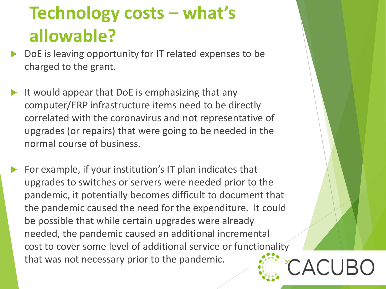## **Technology costs – what's allowable?**

- DoE is leaving opportunity for IT related expenses to be charged to the grant.
- It would appear that DoE is emphasizing that any computer/ERP infrastructure items need to be directly correlated with the coronavirus and not representative of upgrades (or repairs) that were going to be needed in the normal course of business.
- For example, if your institution's IT plan indicates that upgrades to switches or servers were needed prior to the pandemic, it potentially becomes difficult to document that the pandemic caused the need for the expenditure. It could be possible that while certain upgrades were already needed, the pandemic caused an additional incremental cost to cover some level of additional service or functionality that was not necessary prior to the pandemic.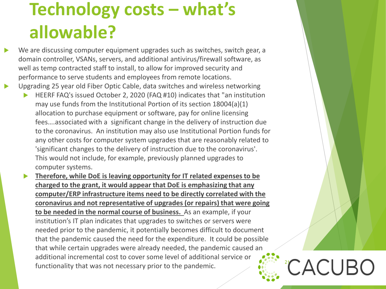### **Technology costs – what's allowable?**

- We are discussing computer equipment upgrades such as switches, switch gear, a domain controller, VSANs, servers, and additional antivirus/firewall software, as well as temp contracted staff to install, to allow for improved security and performance to serve students and employees from remote locations.
- Upgrading 25 year old Fiber Optic Cable, data switches and wireless networking
	- HEERF FAQ's issued October 2, 2020 (FAQ #10) indicates that "an institution may use funds from the Institutional Portion of its section 18004(a)(1) allocation to purchase equipment or software, pay for online licensing fees….associated with a significant change in the delivery of instruction due to the coronavirus. An institution may also use Institutional Portion funds for any other costs for computer system upgrades that are reasonably related to 'significant changes to the delivery of instruction due to the coronavirus'. This would not include, for example, previously planned upgrades to computer systems.
	- **Therefore, while DoE is leaving opportunity for IT related expenses to be charged to the grant, it would appear that DoE is emphasizing that any computer/ERP infrastructure items need to be directly correlated with the coronavirus and not representative of upgrades (or repairs) that were going to be needed in the normal course of business.** As an example, if your institution's IT plan indicates that upgrades to switches or servers were needed prior to the pandemic, it potentially becomes difficult to document that the pandemic caused the need for the expenditure. It could be possible that while certain upgrades were already needed, the pandemic caused an additional incremental cost to cover some level of additional service or functionality that was not necessary prior to the pandemic.  $\ddot{C}$   $ACUBC$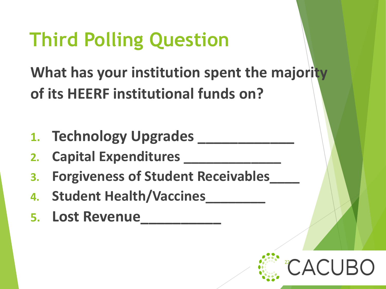# **Third Polling Question**

**What has your institution spent the majority of its HEERF institutional funds on?**

- **1. Technology Upgrades \_\_\_\_\_\_\_\_\_\_\_\_**
- **2. Capital Expenditures \_\_\_\_\_\_\_\_\_\_\_\_\_**
- **3. Forgiveness of Student Receivables\_\_\_\_**
- **4. Student Health/Vaccines\_\_\_\_\_\_\_\_**
- **5. Lost Revenue\_\_\_\_\_\_\_\_\_\_**

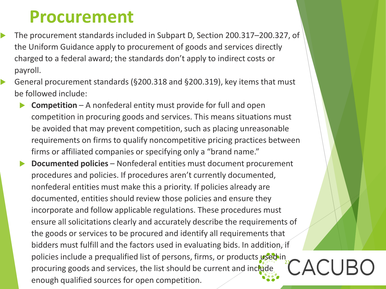#### **Procurement**

- The procurement standards included in Subpart D, Section 200.317–200.327, of the Uniform Guidance apply to procurement of goods and services directly charged to a federal award; the standards don't apply to indirect costs or payroll.
- General procurement standards (§200.318 and §200.319), key items that must be followed include:
	- **Competition** A nonfederal entity must provide for full and open competition in procuring goods and services. This means situations must be avoided that may prevent competition, such as placing unreasonable requirements on firms to qualify noncompetitive pricing practices between firms or affiliated companies or specifying only a "brand name."
	- **Documented policies**  Nonfederal entities must document procurement procedures and policies. If procedures aren't currently documented, nonfederal entities must make this a priority. If policies already are documented, entities should review those policies and ensure they incorporate and follow applicable regulations. These procedures must ensure all solicitations clearly and accurately describe the requirements of the goods or services to be procured and identify all requirements that bidders must fulfill and the factors used in evaluating bids. In addition, if policies include a prequalified list of persons, firms, or products used in procuring goods and services, the list should be current and include enough qualified sources for open competition. 23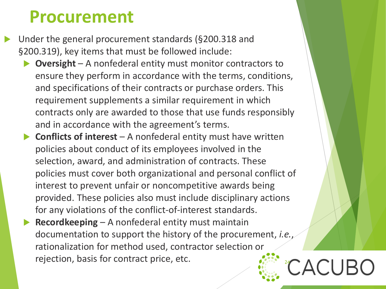#### **Procurement**

- Under the general procurement standards (§200.318 and §200.319), key items that must be followed include:
	- **Oversight** A nonfederal entity must monitor contractors to ensure they perform in accordance with the terms, conditions, and specifications of their contracts or purchase orders. This requirement supplements a similar requirement in which contracts only are awarded to those that use funds responsibly and in accordance with the agreement's terms.
	- **Conflicts of interest** A nonfederal entity must have written policies about conduct of its employees involved in the selection, award, and administration of contracts. These policies must cover both organizational and personal conflict of interest to prevent unfair or noncompetitive awards being provided. These policies also must include disciplinary actions for any violations of the conflict-of-interest standards.
	- **Recordkeeping** A nonfederal entity must maintain documentation to support the history of the procurement, *i.e.*, rationalization for method used, contractor selection or rejection, basis for contract price, etc.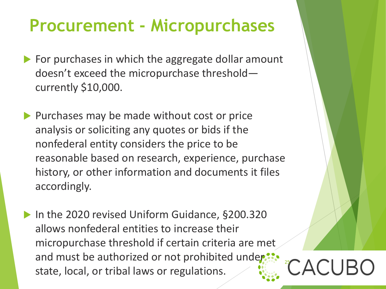#### **Procurement - Micropurchases**

- $\blacktriangleright$  For purchases in which the aggregate dollar amount doesn't exceed the micropurchase threshold currently \$10,000.
- $\blacktriangleright$  Purchases may be made without cost or price analysis or soliciting any quotes or bids if the nonfederal entity considers the price to be reasonable based on research, experience, purchase history, or other information and documents it files accordingly.
- ▶ In the 2020 revised Uniform Guidance, §200.320 allows nonfederal entities to increase their micropurchase threshold if certain criteria are met and must be authorized or not prohibited under: state, local, or tribal laws or regulations.

25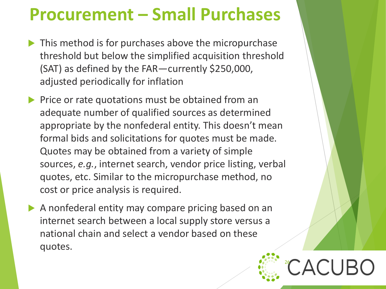#### **Procurement – Small Purchases**

- $\blacktriangleright$  This method is for purchases above the micropurchase threshold but below the simplified acquisition threshold (SAT) as defined by the FAR—currently \$250,000, adjusted periodically for inflation
- $\triangleright$  Price or rate quotations must be obtained from an adequate number of qualified sources as determined appropriate by the nonfederal entity. This doesn't mean formal bids and solicitations for quotes must be made. Quotes may be obtained from a variety of simple sources, *e.g.*, internet search, vendor price listing, verbal quotes, etc. Similar to the micropurchase method, no cost or price analysis is required.
- A nonfederal entity may compare pricing based on an internet search between a local supply store versus a national chain and select a vendor based on these quotes.

26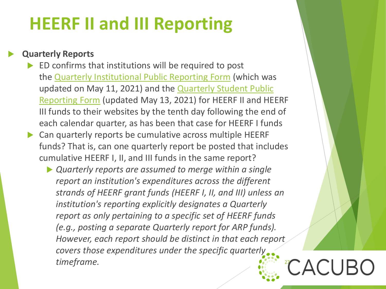#### **HEERF II and III Reporting**

#### **Quarterly Reports**

- ED confirms that institutions will be required to post the [Quarterly Institutional Public Reporting Form](https://www2.ed.gov/about/offices/list/ope/heerfreporting.html) (which was updated on May 11, 2021) and the Quarterly Student Public Reporting Form [\(updated May 13, 2021\) for HEERF II and HE](https://www.govinfo.gov/content/pkg/FR-2021-05-13/pdf/2021-10196.pdf)ERF III funds to their websites by the tenth day following the end of each calendar quarter, as has been that case for HEERF I funds
- Can quarterly reports be cumulative across multiple HEERF funds? That is, can one quarterly report be posted that includes cumulative HEERF I, II, and III funds in the same report?
	- *Quarterly reports are assumed to merge within a single report an institution's expenditures across the different strands of HEERF grant funds (HEERF I, II, and III) unless an institution's reporting explicitly designates a Quarterly report as only pertaining to a specific set of HEERF funds (e.g., posting a separate Quarterly report for ARP funds). However, each report should be distinct in that each report covers those expenditures under the specific quarterly timeframe.* 27 CACUI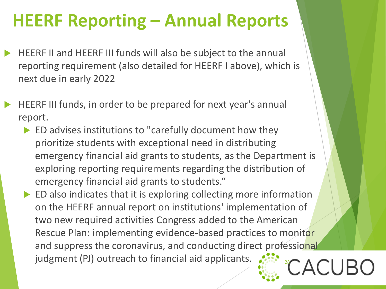### **HEERF Reporting – Annual Reports**

- HEERF II and HEERF III funds will also be subject to the annual reporting requirement (also detailed for HEERF I above), which is next due in early 2022
- HEERF III funds, in order to be prepared for next year's annual report.
	- ED advises institutions to "carefully document how they prioritize students with exceptional need in distributing emergency financial aid grants to students, as the Department is exploring reporting requirements regarding the distribution of emergency financial aid grants to students."
	- ED also indicates that it is exploring collecting more information on the HEERF annual report on institutions' implementation of two new required activities Congress added to the American Rescue Plan: implementing evidence-based practices to monitor and suppress the coronavirus, and conducting direct professional judgment (PJ) outreach to financial aid applicants.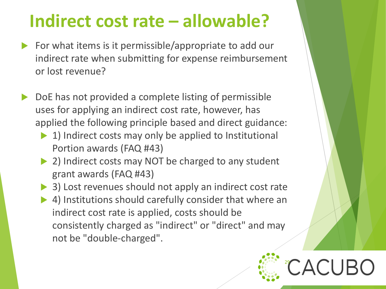### **Indirect cost rate – allowable?**

- For what items is it permissible/appropriate to add our indirect rate when submitting for expense reimbursement or lost revenue?
- DoE has not provided a complete listing of permissible uses for applying an indirect cost rate, however, has applied the following principle based and direct guidance:
	- 1) Indirect costs may only be applied to Institutional Portion awards (FAQ #43)
	- 2) Indirect costs may NOT be charged to any student grant awards (FAQ #43)
	- 3) Lost revenues should not apply an indirect cost rate
	- 4) Institutions should carefully consider that where an indirect cost rate is applied, costs should be consistently charged as "indirect" or "direct" and may not be "double-charged".

29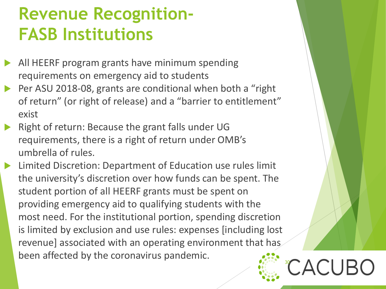#### **Revenue Recognition-FASB Institutions**

- All HEERF program grants have minimum spending requirements on emergency aid to students
- Per ASU 2018-08, grants are conditional when both a "right of return" (or right of release) and a "barrier to entitlement" exist
- Right of return: Because the grant falls under UG requirements, there is a right of return under OMB's umbrella of rules.
- Limited Discretion: Department of Education use rules limit the university's discretion over how funds can be spent. The student portion of all HEERF grants must be spent on providing emergency aid to qualifying students with the most need. For the institutional portion, spending discretion is limited by exclusion and use rules: expenses [including lost revenue] associated with an operating environment that has been affected by the coronavirus pandemic.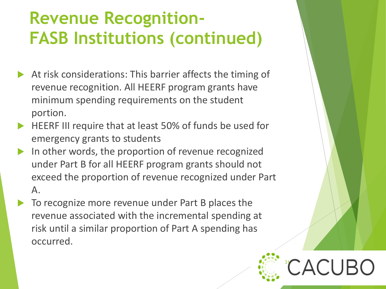### **Revenue Recognition-FASB Institutions (continued)**

- At risk considerations: This barrier affects the timing of revenue recognition. All HEERF program grants have minimum spending requirements on the student portion.
- HEERF III require that at least 50% of funds be used for emergency grants to students
- In other words, the proportion of revenue recognized under Part B for all HEERF program grants should not exceed the proportion of revenue recognized under Part A.
	- To recognize more revenue under Part B places the revenue associated with the incremental spending at risk until a similar proportion of Part A spending has occurred.

31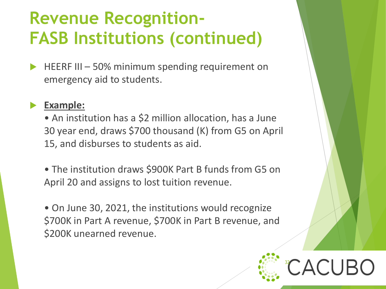### **Revenue Recognition-FASB Institutions (continued)**

 HEERF III – 50% minimum spending requirement on emergency aid to students.

#### **Example:**

- An institution has a \$2 million allocation, has a June 30 year end, draws \$700 thousand (K) from G5 on April 15, and disburses to students as aid.
- The institution draws \$900K Part B funds from G5 on April 20 and assigns to lost tuition revenue.
- On June 30, 2021, the institutions would recognize \$700K in Part A revenue, \$700K in Part B revenue, and \$200K unearned revenue.

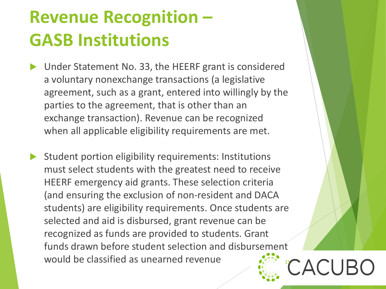### **Revenue Recognition – GASB Institutions**

- Under Statement No. 33, the HEERF grant is considered a voluntary nonexchange transactions (a legislative agreement, such as a grant, entered into willingly by the parties to the agreement, that is other than an exchange transaction). Revenue can be recognized when all applicable eligibility requirements are met.
- Student portion eligibility requirements: Institutions must select students with the greatest need to receive HEERF emergency aid grants. These selection criteria (and ensuring the exclusion of non-resident and DACA students) are eligibility requirements. Once students are selected and aid is disbursed, grant revenue can be recognized as funds are provided to students. Grant funds drawn before student selection and disbursement would be classified as unearned revenue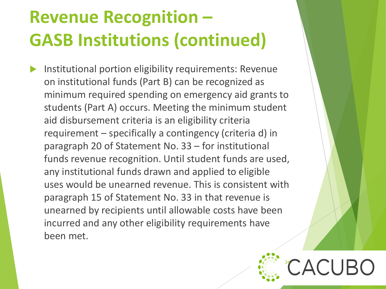# **Revenue Recognition – GASB Institutions (continued)**

 Institutional portion eligibility requirements: Revenue on institutional funds (Part B) can be recognized as minimum required spending on emergency aid grants to students (Part A) occurs. Meeting the minimum student aid disbursement criteria is an eligibility criteria requirement – specifically a contingency (criteria d) in paragraph 20 of Statement No. 33 – for institutional funds revenue recognition. Until student funds are used, any institutional funds drawn and applied to eligible uses would be unearned revenue. This is consistent with paragraph 15 of Statement No. 33 in that revenue is unearned by recipients until allowable costs have been incurred and any other eligibility requirements have been met.